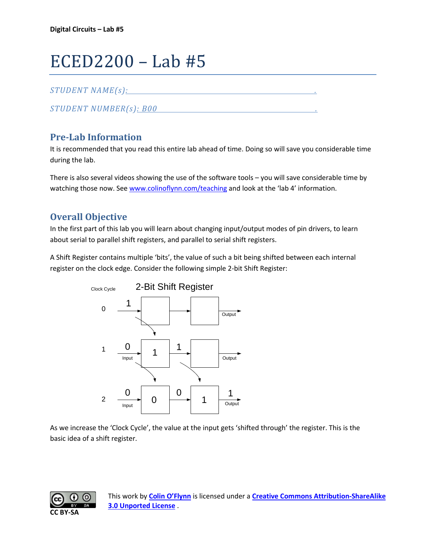# ECED2200 – Lab #5

## *STUDENT NAME(s): .*

*STUDENT NUMBER(s): B00 .* 

# **Pre-Lab Information**

It is recommended that you read this entire lab ahead of time. Doing so will save you considerable time during the lab.

There is also several videos showing the use of the software tools – you will save considerable time by watching those now. See [www.colinoflynn.com/teaching](http://www.colinoflynn.com/teaching) and look at the 'lab 4' information.

# **Overall Objective**

In the first part of this lab you will learn about changing input/output modes of pin drivers, to learn about serial to parallel shift registers, and parallel to serial shift registers.

A Shift Register contains multiple 'bits', the value of such a bit being shifted between each internal register on the clock edge. Consider the following simple 2-bit Shift Register:



As we increase the 'Clock Cycle', the value at the input gets 'shifted through' the register. This is the basic idea of a shift register.

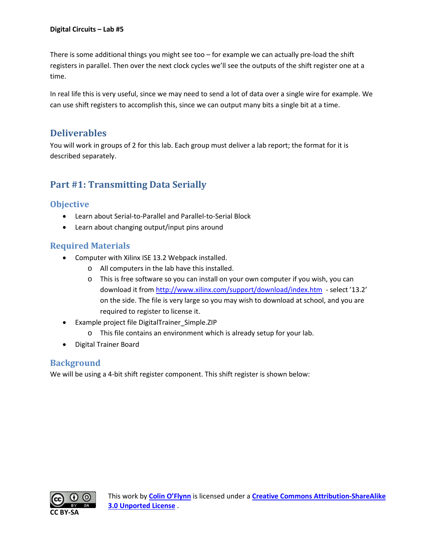There is some additional things you might see too – for example we can actually pre-load the shift registers in parallel. Then over the next clock cycles we'll see the outputs of the shift register one at a time.

In real life this is very useful, since we may need to send a lot of data over a single wire for example. We can use shift registers to accomplish this, since we can output many bits a single bit at a time.

# **Deliverables**

You will work in groups of 2 for this lab. Each group must deliver a lab report; the format for it is described separately.

# **Part #1: Transmitting Data Serially**

## **Objective**

- Learn about Serial-to-Parallel and Parallel-to-Serial Block
- Learn about changing output/input pins around

# **Required Materials**

- Computer with Xilinx ISE 13.2 Webpack installed.
	- o All computers in the lab have this installed.
	- o This is free software so you can install on your own computer if you wish, you can download it from<http://www.xilinx.com/support/download/index.htm>- select '13.2' on the side. The file is very large so you may wish to download at school, and you are required to register to license it.
- Example project file DigitalTrainer Simple.ZIP
	- o This file contains an environment which is already setup for your lab.
- Digital Trainer Board

## **Background**

We will be using a 4-bit shift register component. This shift register is shown below:

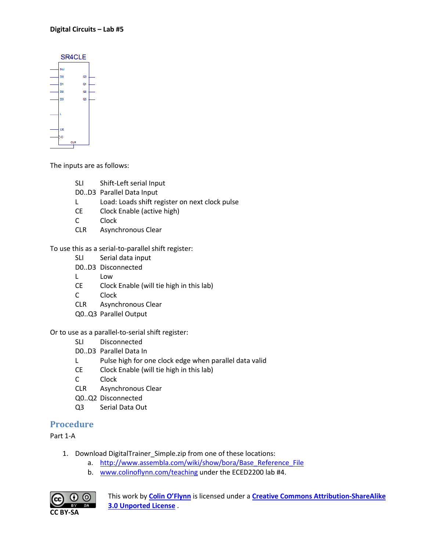| SR4CLE |    |     |    |  |  |  |
|--------|----|-----|----|--|--|--|
|        | SU |     |    |  |  |  |
|        | DO |     | Q0 |  |  |  |
|        | D1 |     | Qt |  |  |  |
|        | D2 |     | Q2 |  |  |  |
|        | D3 |     | as |  |  |  |
|        | Ŧ. |     |    |  |  |  |
|        | Œ  |     |    |  |  |  |
|        |    | CLR |    |  |  |  |

The inputs are as follows:

- SLI Shift-Left serial Input
- D0..D3 Parallel Data Input
- L Load: Loads shift register on next clock pulse
- CE Clock Enable (active high)
- C Clock
- CLR Asynchronous Clear

To use this as a serial-to-parallel shift register:

- SLI Serial data input
- D0..D3 Disconnected
- L Low
- CE Clock Enable (will tie high in this lab)
- C Clock
- CLR Asynchronous Clear
- Q0..Q3 Parallel Output

Or to use as a parallel-to-serial shift register:

- SLI Disconnected
- D0..D3 Parallel Data In
- L Pulse high for one clock edge when parallel data valid
- CE Clock Enable (will tie high in this lab)
- C Clock
- CLR Asynchronous Clear
- Q0..Q2 Disconnected
- Q3 Serial Data Out

## **Procedure**

Part 1-A

- 1. Download DigitalTrainer\_Simple.zip from one of these locations:
	- a. [http://www.assembla.com/wiki/show/bora/Base\\_Reference\\_File](http://www.assembla.com/wiki/show/bora/Base_Reference_File)
	- b. [www.colinoflynn.com/teaching](http://www.colinoflynn.com/teaching) under the ECED2200 lab #4.



This work by **[Colin O'Flynn](http://www.newae.com/)** is licensed under a **[Creative Commons Attribution-ShareAlike](http://creativecommons.org/licenses/by-sa/3.0/)  [3.0 Unported License](http://creativecommons.org/licenses/by-sa/3.0/)** .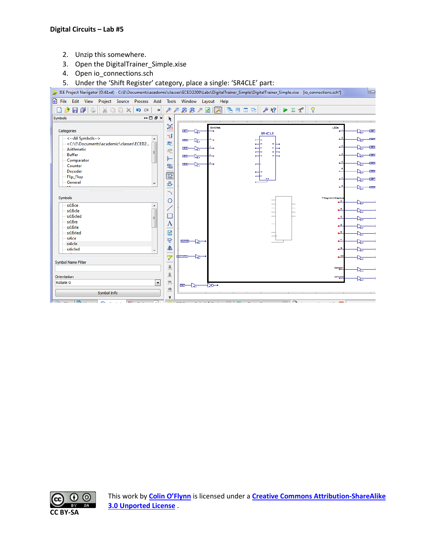- 2. Unzip this somewhere.
- 3. Open the DigitalTrainer\_Simple.xise
- 4. Open io\_connections.sch
- 5. Under the 'Shift Register' category, place a single: 'SR4CLE' part:



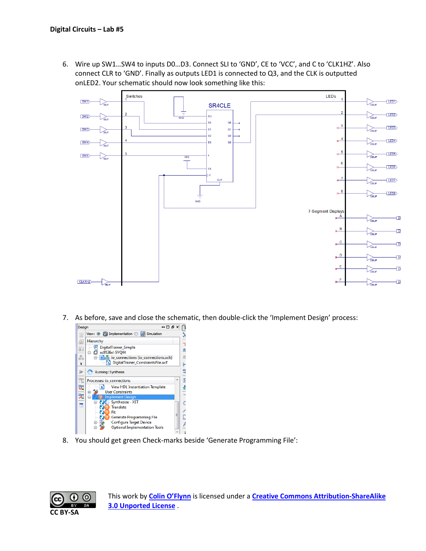6. Wire up SW1…SW4 to inputs D0…D3. Connect SLI to 'GND', CE to 'VCC', and C to 'CLK1HZ'. Also connect CLR to 'GND'. Finally as outputs LED1 is connected to Q3, and the CLK is outputted onLED2. Your schematic should now look something like this:



7. As before, save and close the schematic, then double-click the 'Implement Design' process:



8. You should get green Check-marks beside 'Generate Programming File':

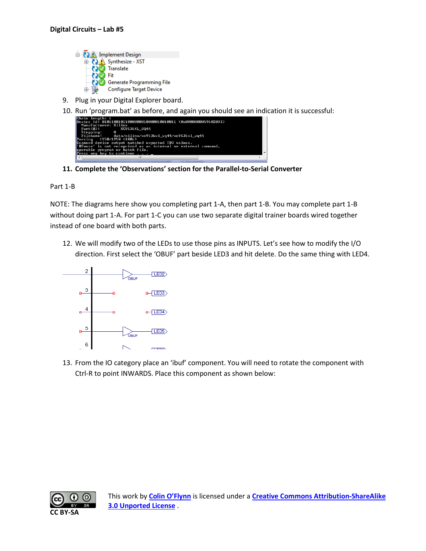

- 9. Plug in your Digital Explorer board.
- 10. Run 'program.bat' as before, and again you should see an indication it is successful:

| Chain length: 1                                                  |  |
|------------------------------------------------------------------|--|
| Device Id: 01011001011000000010000010010011 (0x0000000059602093) |  |
| Manufacturer: Xilinx                                             |  |
| Part(0): XC9536XL UQ44                                           |  |
| ø<br>Stepping:                                                   |  |
| Filename: data/xilinx/xc9536x1_vq44/xc9536x1_vq44                |  |
| Parsing 1950/1950 (100%)                                         |  |
| Scanned device output matched expected TDO values.               |  |
| "#Pause' is not recognized as an internal or external command,   |  |
| operable program or batch file.                                  |  |
| Press any key to continue $\ldots$ $\ldots$                      |  |
| Ш                                                                |  |

**11. Complete the 'Observations' section for the Parallel-to-Serial Converter**

Part 1-B

NOTE: The diagrams here show you completing part 1-A, then part 1-B. You may complete part 1-B without doing part 1-A. For part 1-C you can use two separate digital trainer boards wired together instead of one board with both parts.

12. We will modify two of the LEDs to use those pins as INPUTS. Let's see how to modify the I/O direction. First select the 'OBUF' part beside LED3 and hit delete. Do the same thing with LED4.



13. From the IO category place an 'ibuf' component. You will need to rotate the component with Ctrl-R to point INWARDS. Place this component as shown below:

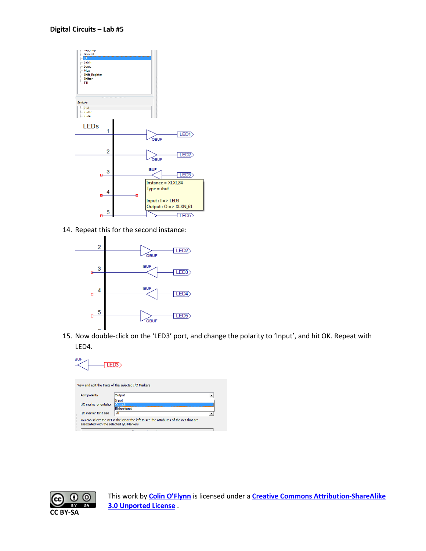

14. Repeat this for the second instance:



15. Now double-click on the 'LED3' port, and change the polarity to 'Input', and hit OK. Repeat with LED4.



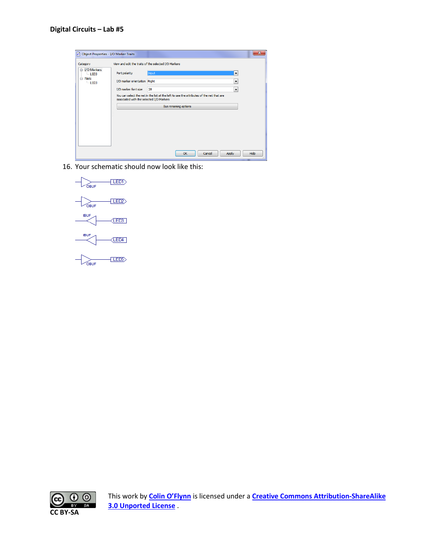| O Object Properties - I/O Marker Traits |                                          |                                                                                          | x    |
|-----------------------------------------|------------------------------------------|------------------------------------------------------------------------------------------|------|
| Category                                |                                          | View and edit the traits of the selected I/O Markers                                     |      |
| DO Markers<br>$-LED3$                   | Port polarity                            | Input<br>$\overline{\phantom{a}}$                                                        |      |
| <b>A</b> Nets<br>$-LED3$                | I/O marker orientation Right             | $\overline{\phantom{a}}$                                                                 |      |
|                                         | I/O marker font size                     | 28<br>$\blacktriangledown$                                                               |      |
|                                         | associated with the selected I/O Markers | You can select the net in the list at the left to see the attributes of the net that are |      |
|                                         |                                          | Bus renaming options                                                                     |      |
|                                         |                                          |                                                                                          |      |
|                                         |                                          | OK<br>Cancel<br><b>Apply</b>                                                             | Help |

16. Your schematic should now look like this:



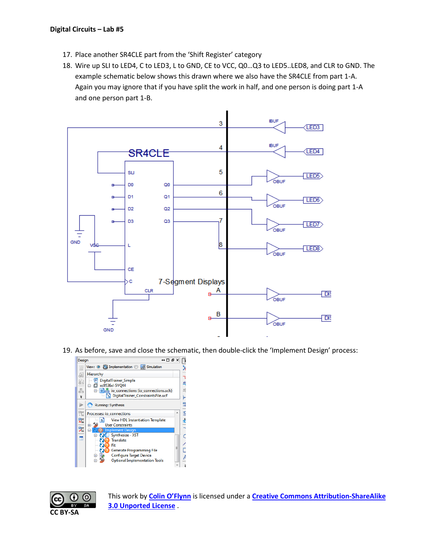- 17. Place another SR4CLE part from the 'Shift Register' category
- 18. Wire up SLI to LED4, C to LED3, L to GND, CE to VCC, Q0…Q3 to LED5..LED8, and CLR to GND. The example schematic below shows this drawn where we also have the SR4CLE from part 1-A. Again you may ignore that if you have split the work in half, and one person is doing part 1-A and one person part 1-B.



19. As before, save and close the schematic, then double-click the 'Implement Design' process:





This work by **[Colin O'Flynn](http://www.newae.com/)** is licensed under a **[Creative Commons Attribution-ShareAlike](http://creativecommons.org/licenses/by-sa/3.0/)  [3.0 Unported License](http://creativecommons.org/licenses/by-sa/3.0/)** .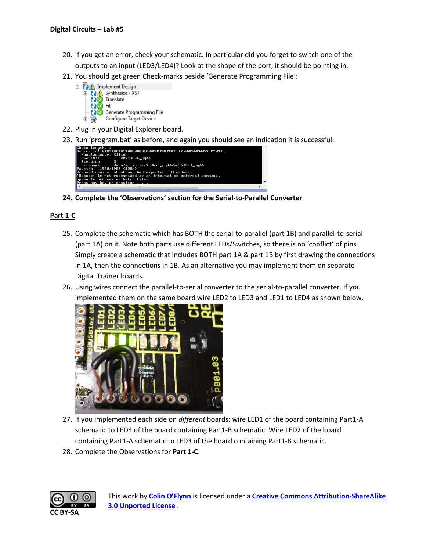- 20. If you get an error, check your schematic. In particular did you forget to switch one of the outputs to an input (LED3/LED4)? Look at the shape of the port, it should be pointing in.
- 21. You should get green Check-marks beside 'Generate Programming File':



- 22. Plug in your Digital Explorer board.
- 23. Run 'program.bat' as before, and again you should see an indication it is successful:



**24. Complete the 'Observations' section for the Serial-to-Parallel Converter**

#### **Part 1-C**

- 25. Complete the schematic which has BOTH the serial-to-parallel (part 1B) and parallel-to-serial (part 1A) on it. Note both parts use different LEDs/Switches, so there is no 'conflict' of pins. Simply create a schematic that includes BOTH part 1A & part 1B by first drawing the connections in 1A, then the connections in 1B. As an alternative you may implement them on separate Digital Trainer boards.
- 26. Using wires connect the parallel-to-serial converter to the serial-to-parallel converter. If you implemented them on the same board wire LED2 to LED3 and LED1 to LED4 as shown below.



- 27. If you implemented each side on *different* boards: wire LED1 of the board containing Part1-A schematic to LED4 of the board containing Part1-B schematic. Wire LED2 of the board containing Part1-A schematic to LED3 of the board containing Part1-B schematic.
- 28. Complete the Observations for **Part 1-C**.

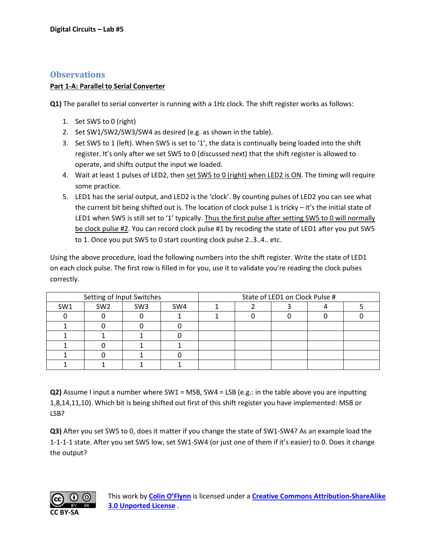### **Observations**

#### **Part 1-A: Parallel to Serial Converter**

**Q1)** The parallel to serial converter is running with a 1Hz clock. The shift register works as follows:

- 1. Set SW5 to 0 (right)
- 2. Set SW1/SW2/SW3/SW4 as desired (e.g. as shown in the table).
- 3. Set SW5 to 1 (left). When SW5 is set to '1', the data is continually being loaded into the shift register. It's only after we set SW5 to 0 (discussed next) that the shift register is allowed to operate, and shifts output the input we loaded.
- 4. Wait at least 1 pulses of LED2, then set SW5 to 0 (right) when LED2 is ON. The timing will require some practice.
- 5. LED1 has the serial output, and LED2 is the 'clock'. By counting pulses of LED2 you can see what the current bit being shifted out is. The location of clock pulse 1 is tricky – it's the initial state of LED1 when SW5 is still set to '1' typically. Thus the first pulse after setting SW5 to 0 will normally be clock pulse #2. You can record clock pulse #1 by recoding the state of LED1 after you put SW5 to 1. Once you put SW5 to 0 start counting clock pulse 2..3..4.. etc.

Using the above procedure, load the following numbers into the shift register. Write the state of LED1 on each clock pulse. The first row is filled in for you, use it to validate you're reading the clock pulses correctly.

| Setting of Input Switches |                 |                 | State of LED1 on Clock Pulse # |  |  |  |  |  |
|---------------------------|-----------------|-----------------|--------------------------------|--|--|--|--|--|
| SW <sub>1</sub>           | SW <sub>2</sub> | SW <sub>3</sub> | SW4                            |  |  |  |  |  |
|                           |                 |                 |                                |  |  |  |  |  |
|                           |                 |                 |                                |  |  |  |  |  |
|                           |                 |                 |                                |  |  |  |  |  |
|                           |                 |                 |                                |  |  |  |  |  |
|                           |                 |                 |                                |  |  |  |  |  |
|                           |                 |                 |                                |  |  |  |  |  |

**Q2)** Assume I input a number where SW1 = MSB, SW4 = LSB (e.g.: in the table above you are inputting 1,8,14,11,10). Which bit is being shifted out first of this shift register you have implemented: MSB or LSB?

**Q3)** After you set SW5 to 0, does it matter if you change the state of SW1-SW4? As an example load the 1-1-1-1 state. After you set SW5 low, set SW1-SW4 (or just one of them if it's easier) to 0. Does it change the output?

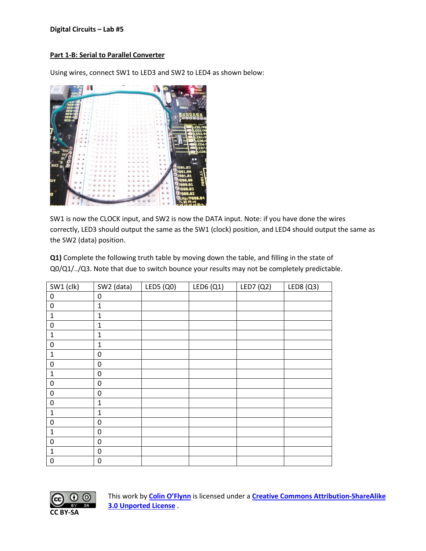#### **Digital Circuits – Lab #5**

#### **Part 1-B: Serial to Parallel Converter**

Using wires, connect SW1 to LED3 and SW2 to LED4 as shown below:



SW1 is now the CLOCK input, and SW2 is now the DATA input. Note: if you have done the wires correctly, LED3 should output the same as the SW1 (clock) position, and LED4 should output the same as the SW2 (data) position.

**Q1)** Complete the following truth table by moving down the table, and filling in the state of Q0/Q1/../Q3. Note that due to switch bounce your results may not be completely predictable.

| SW1 (clk)        | SW2 (data)       | LED5 (Q0) | LED6(Q1) | LED7 (Q2) | LED8 (Q3) |
|------------------|------------------|-----------|----------|-----------|-----------|
| $\pmb{0}$        | $\pmb{0}$        |           |          |           |           |
| $\pmb{0}$        | $\mathbf{1}$     |           |          |           |           |
| $\mathbf 1$      | $\mathbf{1}$     |           |          |           |           |
| $\pmb{0}$        | $\mathbf{1}$     |           |          |           |           |
| $\mathbf 1$      | $\mathbf 1$      |           |          |           |           |
| $\pmb{0}$        | $\mathbf{1}$     |           |          |           |           |
| $\mathbf 1$      | $\boldsymbol{0}$ |           |          |           |           |
| $\pmb{0}$        | $\boldsymbol{0}$ |           |          |           |           |
| $\mathbf 1$      | $\pmb{0}$        |           |          |           |           |
| $\boldsymbol{0}$ | $\boldsymbol{0}$ |           |          |           |           |
| $\pmb{0}$        | $\boldsymbol{0}$ |           |          |           |           |
| $\boldsymbol{0}$ | $\mathbf{1}$     |           |          |           |           |
| $\mathbf{1}$     | $\mathbf{1}$     |           |          |           |           |
| $\pmb{0}$        | $\boldsymbol{0}$ |           |          |           |           |
| $\mathbf 1$      | $\boldsymbol{0}$ |           |          |           |           |
| $\boldsymbol{0}$ | $\boldsymbol{0}$ |           |          |           |           |
| $\mathbf 1$      | $\boldsymbol{0}$ |           |          |           |           |
| $\mathbf 0$      | $\boldsymbol{0}$ |           |          |           |           |



This work by **[Colin O'Flynn](http://www.newae.com/)** is licensed under a **[Creative Commons Attribution-ShareAlike](http://creativecommons.org/licenses/by-sa/3.0/)  [3.0 Unported License](http://creativecommons.org/licenses/by-sa/3.0/)** .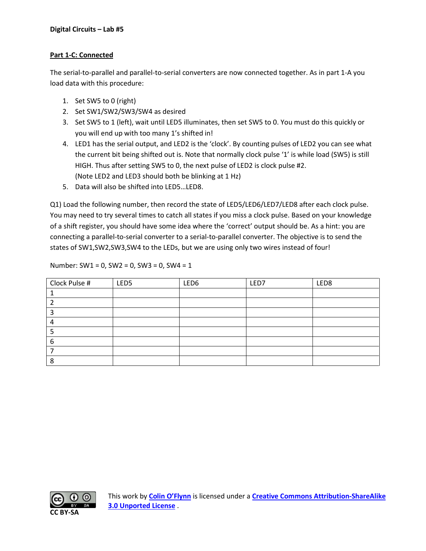### **Part 1-C: Connected**

The serial-to-parallel and parallel-to-serial converters are now connected together. As in part 1-A you load data with this procedure:

- 1. Set SW5 to 0 (right)
- 2. Set SW1/SW2/SW3/SW4 as desired
- 3. Set SW5 to 1 (left), wait until LED5 illuminates, then set SW5 to 0. You must do this quickly or you will end up with too many 1's shifted in!
- 4. LED1 has the serial output, and LED2 is the 'clock'. By counting pulses of LED2 you can see what the current bit being shifted out is. Note that normally clock pulse '1' is while load (SW5) is still HIGH. Thus after setting SW5 to 0, the next pulse of LED2 is clock pulse #2. (Note LED2 and LED3 should both be blinking at 1 Hz)
- 5. Data will also be shifted into LED5…LED8.

Q1) Load the following number, then record the state of LED5/LED6/LED7/LED8 after each clock pulse. You may need to try several times to catch all states if you miss a clock pulse. Based on your knowledge of a shift register, you should have some idea where the 'correct' output should be. As a hint: you are connecting a parallel-to-serial converter to a serial-to-parallel converter. The objective is to send the states of SW1,SW2,SW3,SW4 to the LEDs, but we are using only two wires instead of four!

Number: SW1 = 0, SW2 = 0, SW3 = 0, SW4 = 1

| Clock Pulse # | LED <sub>5</sub> | LED6 | LED7 | LED8 |
|---------------|------------------|------|------|------|
|               |                  |      |      |      |
|               |                  |      |      |      |
|               |                  |      |      |      |
|               |                  |      |      |      |
|               |                  |      |      |      |
|               |                  |      |      |      |
|               |                  |      |      |      |
|               |                  |      |      |      |